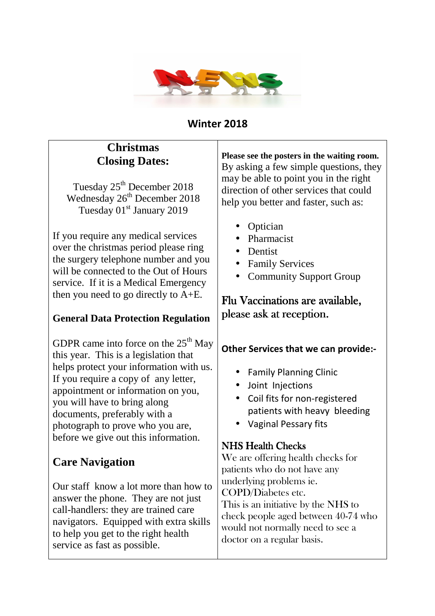

#### **Winter 2018**

## **Christmas Closing Dates:**

Tuesday  $25<sup>th</sup>$  December 2018 Wednesday 26<sup>th</sup> December 2018 Tuesday 01<sup>st</sup> January 2019

If you require any medical services over the christmas period please ring the surgery telephone number and you will be connected to the Out of Hours service. If it is a Medical Emergency then you need to go directly to A+E.

### **General Data Protection Regulation**

GDPR came into force on the  $25<sup>th</sup>$  May this year. This is a legislation that helps protect your information with us. If you require a copy of any letter, appointment or information on you, you will have to bring along documents, preferably with a photograph to prove who you are, before we give out this information.

## **Care Navigation**

Our staff know a lot more than how to answer the phone. They are not just call-handlers: they are trained care navigators. Equipped with extra skills to help you get to the right health service as fast as possible.

**Please see the posters in the waiting room.**  By asking a few simple questions, they may be able to point you in the right direction of other services that could help you better and faster, such as:

- Optician
- Pharmacist
- Dentist
- Family Services
- Community Support Group

Flu Vaccinations are available, please ask at reception.

#### **Other Services that we can provide:-**

- Family Planning Clinic
- Joint Injections
- Coil fits for non-registered patients with heavy bleeding
- Vaginal Pessary fits

### NHS Health Checks

We are offering health checks for patients who do not have any underlying problems ie. COPD/Diabetes etc. This is an initiative by the NHS to check people aged between 40-74 who would not normally need to see a doctor on a regular basis.